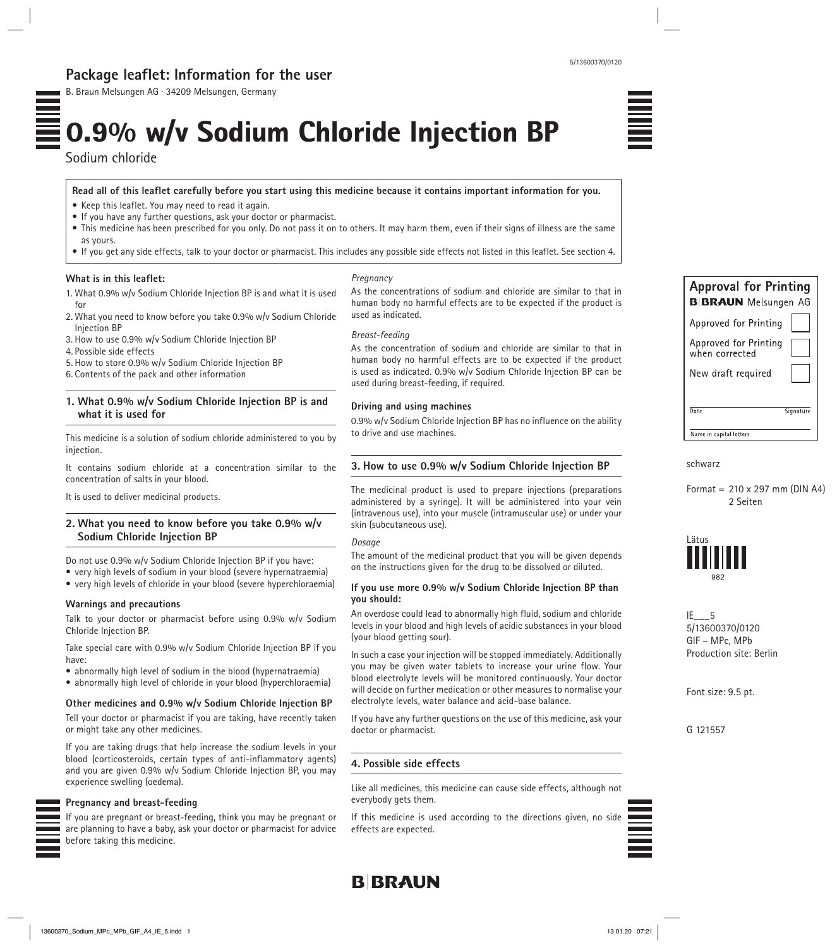## **Package leaflet: Information for the user**

B. Braun Melsungen AG · 34209 Melsungen, Germany

# 0.9% w/v Sodium Chloride Injection BP

Sodium chloride

**Read all of this leaflet carefully before you start using this medicine because it contains important information for you.**

- Keep this leaflet. You may need to read it again.
- If you have any further questions, ask your doctor or pharmacist.
- This medicine has been prescribed for you only. Do not pass it on to others. It may harm them, even if their signs of illness are the same as yours.
- If you get any side effects, talk to your doctor or pharmacist. This includes any possible side effects not listed in this leaflet. See section 4.

#### **What is in this leaflet:**

*Pregnancy*

1. What 0.9% w/v Sodium Chloride Injection BP is and what it is used for

- 2. What you need to know before you take 0.9% w/v Sodium Chloride Injection BP
- 3. How to use 0.9% w/v Sodium Chloride Injection BP
- 4. Possible side effects
- 5. How to store 0.9% w/v Sodium Chloride Injection BP
- 6. Contents of the pack and other information

## **1. What 0.9% w/v Sodium Chloride Injection BP is and what it is used for**

This medicine is a solution of sodium chloride administered to you by injection.

It contains sodium chloride at a concentration similar to the concentration of salts in your blood.

It is used to deliver medicinal products.

## **2. What you need to know before you take 0.9% w/v Sodium Chloride Injection BP**

Do not use 0.9% w/v Sodium Chloride Injection BP if you have:

- very high levels of sodium in your blood (severe hypernatraemia)
- very high levels of chloride in your blood (severe hyperchloraemia)

## **Warnings and precautions**

Talk to your doctor or pharmacist before using 0.9% w/v Sodium Chloride Injection BP.

Take special care with 0.9% w/v Sodium Chloride Injection BP if you have:

- abnormally high level of sodium in the blood (hypernatraemia)
- abnormally high level of chloride in your blood (hyperchloraemia)

## **Other medicines and 0.9% w/v Sodium Chloride Injection BP**

Tell your doctor or pharmacist if you are taking, have recently taken or might take any other medicines.

If you are taking drugs that help increase the sodium levels in your blood (corticosteroids, certain types of anti-inflammatory agents) and you are given 0.9% w/v Sodium Chloride Injection BP, you may experience swelling (oedema).

#### **Pregnancy and breast-feeding**

If you are pregnant or breast-feeding, think you may be pregnant or are planning to have a baby, ask your doctor or pharmacist for advice before taking this medicine.

As the concentrations of sodium and chloride are similar to that in human body no harmful effects are to be expected if the product is used as indicated.

#### *Breast-feeding*

As the concentration of sodium and chloride are similar to that in human body no harmful effects are to be expected if the product is used as indicated. 0.9% w/v Sodium Chloride Injection BP can be used during breast-feeding, if required.

#### **Driving and using machines**

0.9% w/v Sodium Chloride Injection BP has no influence on the ability to drive and use machines.

## **3. How to use 0.9% w/v Sodium Chloride Injection BP**

The medicinal product is used to prepare injections (preparations administered by a syringe). It will be administered into your vein (intravenous use), into your muscle (intramuscular use) or under your skin (subcutaneous use).

#### *Dosage*

The amount of the medicinal product that you will be given depends on the instructions given for the drug to be dissolved or diluted.

### **If you use more 0.9% w/v Sodium Chloride Injection BP than you should:**

An overdose could lead to abnormally high fluid, sodium and chloride levels in your blood and high levels of acidic substances in your blood (your blood getting sour).

In such a case your injection will be stopped immediately. Additionally you may be given water tablets to increase your urine flow. Your blood electrolyte levels will be monitored continuously. Your doctor will decide on further medication or other measures to normalise your electrolyte levels, water balance and acid-base balance.

If you have any further questions on the use of this medicine, ask your doctor or pharmacist.

## **4. Possible side effects**

Like all medicines, this medicine can cause side effects, although not everybody gets them.

If this medicine is used according to the directions given, no side effects are expected.



| <b>Approval for Printing</b><br><b>B BRAUN</b> Melsungen AG |           |
|-------------------------------------------------------------|-----------|
| Approved for Printing                                       |           |
| Approved for Printing<br>when corrected                     |           |
| New draft required                                          |           |
| Date                                                        | Signature |
| Name in capital letters                                     |           |

schwarz

## Format = 210 x 297 mm (DIN A4) 2 Seiten



IE\_\_\_5 5/13600370/0120 GIF – MPc, MPb Production site: Berlin

Font size: 9.5 pt.

G 121557



5/13600370/0120